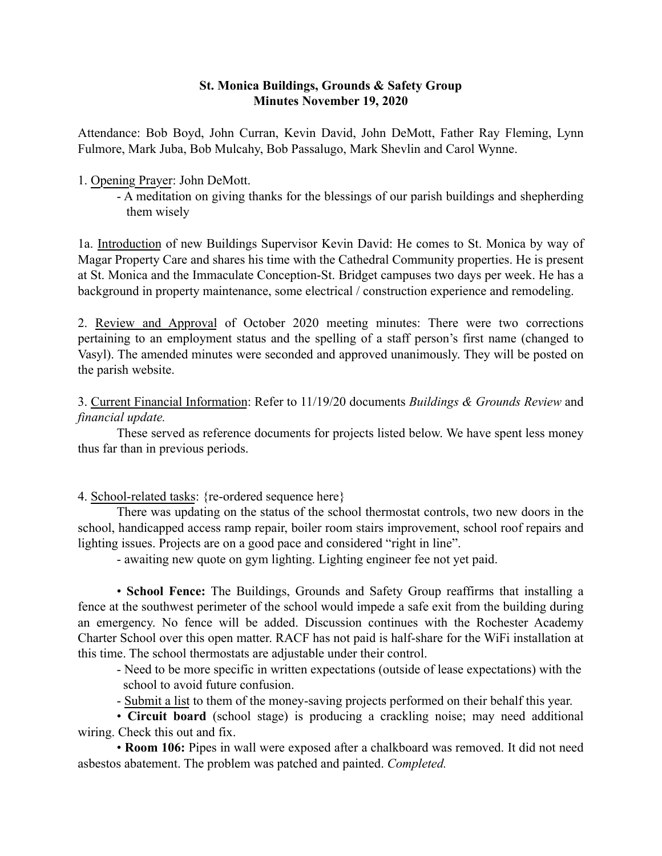### St. Monica Buildings, Grounds & Safety Group Minutes November 19, 2020

Attendance: Bob Boyd, John Curran, Kevin David, John DeMott, Father Ray Fleming, Lynn Fulmore, Mark Juba, Bob Mulcahy, Bob Passalugo, Mark Shevlin and Carol Wynne.

### 1. Opening Prayer: John DeMott.

- A meditation on giving thanks for the blessings of our parish buildings and shepherding them wisely

1a. Introduction of new Buildings Supervisor Kevin David: He comes to St. Monica by way of Magar Property Care and shares his time with the Cathedral Community properties. He is present at St. Monica and the Immaculate Conception-St. Bridget campuses two days per week. He has a background in property maintenance, some electrical / construction experience and remodeling.

2. Review and Approval of October 2020 meeting minutes: There were two corrections pertaining to an employment status and the spelling of a staff person's first name (changed to Vasyl). The amended minutes were seconded and approved unanimously. They will be posted on the parish website.

3. Current Financial Information: Refer to 11/19/20 documents *Buildings & Grounds Review* and *financial update.*

These served as reference documents for projects listed below. We have spent less money thus far than in previous periods.

4. School-related tasks: {re-ordered sequence here}

There was updating on the status of the school thermostat controls, two new doors in the school, handicapped access ramp repair, boiler room stairs improvement, school roof repairs and lighting issues. Projects are on a good pace and considered "right in line".

- awaiting new quote on gym lighting. Lighting engineer fee not yet paid.

• School Fence: The Buildings, Grounds and Safety Group reaffirms that installing a fence at the southwest perimeter of the school would impede a safe exit from the building during an emergency. No fence will be added. Discussion continues with the Rochester Academy Charter School over this open matter. RACF has not paid is half-share for the WiFi installation at this time. The school thermostats are adjustable under their control.

- Need to be more specific in written expectations (outside of lease expectations) with the school to avoid future confusion.

- Submit a list to them of the money-saving projects performed on their behalf this year.

• Circuit board (school stage) is producing a crackling noise; may need additional wiring. Check this out and fix.

• Room 106: Pipes in wall were exposed after a chalkboard was removed. It did not need asbestos abatement. The problem was patched and painted. *Completed.*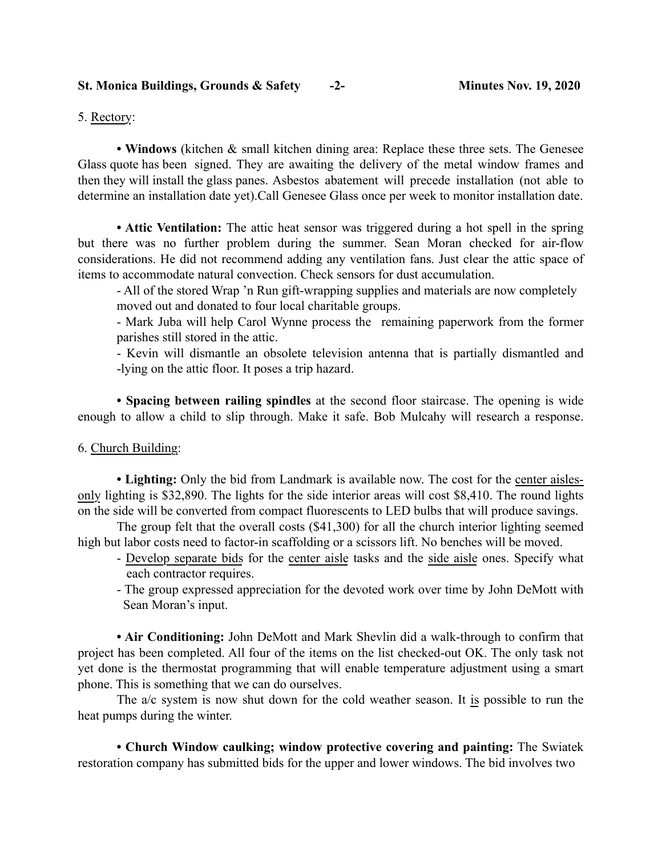5. Rectory:

• Windows (kitchen & small kitchen dining area: Replace these three sets. The Genesee Glass quote has been signed. They are awaiting the delivery of the metal window frames and then they will install the glass panes. Asbestos abatement will precede installation (not able to determine an installation date yet).Call Genesee Glass once per week to monitor installation date.

• Attic Ventilation: The attic heat sensor was triggered during a hot spell in the spring but there was no further problem during the summer. Sean Moran checked for air-flow considerations. He did not recommend adding any ventilation fans. Just clear the attic space of items to accommodate natural convection. Check sensors for dust accumulation.

- All of the stored Wrap 'n Run gift-wrapping supplies and materials are now completely moved out and donated to four local charitable groups.

- Mark Juba will help Carol Wynne process the remaining paperwork from the former parishes still stored in the attic.

- Kevin will dismantle an obsolete television antenna that is partially dismantled and -lying on the attic floor. It poses a trip hazard.

• Spacing between railing spindles at the second floor staircase. The opening is wide enough to allow a child to slip through. Make it safe. Bob Mulcahy will research a response.

#### 6. Church Building:

• Lighting: Only the bid from Landmark is available now. The cost for the center aislesonly lighting is \$32,890. The lights for the side interior areas will cost \$8,410. The round lights on the side will be converted from compact fluorescents to LED bulbs that will produce savings.

The group felt that the overall costs (\$41,300) for all the church interior lighting seemed high but labor costs need to factor-in scaffolding or a scissors lift. No benches will be moved.

- Develop separate bids for the center aisle tasks and the side aisle ones. Specify what each contractor requires.
- The group expressed appreciation for the devoted work over time by John DeMott with Sean Moran's input.

• Air Conditioning: John DeMott and Mark Shevlin did a walk-through to confirm that project has been completed. All four of the items on the list checked-out OK. The only task not yet done is the thermostat programming that will enable temperature adjustment using a smart phone. This is something that we can do ourselves.

The a/c system is now shut down for the cold weather season. It is possible to run the heat pumps during the winter.

• Church Window caulking; window protective covering and painting: The Swiatek restoration company has submitted bids for the upper and lower windows. The bid involves two